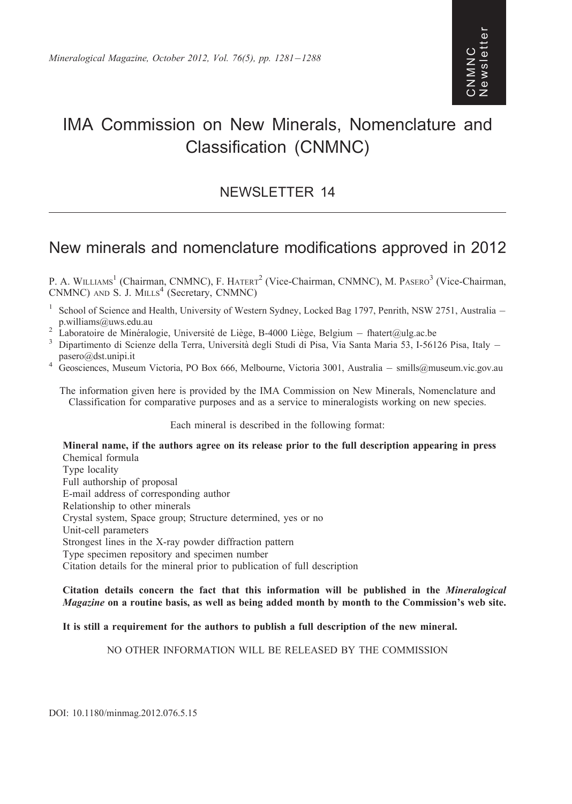# IMA Commission on New Minerals, Nomenclature and Classification (CNMNC)

### NEWSLETTER 14

## New minerals and nomenclature modifications approved in 2012

P. A. WILLIAMS<sup>1</sup> (Chairman, CNMNC), F. HATERT<sup>2</sup> (Vice-Chairman, CNMNC), M. PASERO<sup>3</sup> (Vice-Chairman, CNMNC) AND S. J. MILLS<sup>4</sup> (Secretary, CNMNC)

- <sup>1</sup> School of Science and Health, University of Western Sydney, Locked Bag 1797, Penrith, NSW 2751, Australia p.williams@uws.edu.au<br><sup>2</sup> Laboratoire de Minéralogie, Université de Liège, B-4000 Liège, Belgium – fhatert@ulg.ac.be
- 
- $^2$  Laboratoire de Minéralogie, Université de Liège, B-4000 Liège, Belgium fhatert@ulg.ac.be<br><sup>3</sup> Dipartimento di Scienze della Terra, Università degli Studi di Pisa, Via Santa Maria 53, I-56126 Pisa, Italy –
- pasero@dst.unipi.it<br>4 Geosciences, Museum Victoria, PO Box 666, Melbourne, Victoria 3001, Australia smills@museum.vic.gov.au

The information given here is provided by the IMA Commission on New Minerals, Nomenclature and Classification for comparative purposes and as a service to mineralogists working on new species.

Each mineral is described in the following format:

Mineral name, if the authors agree on its release prior to the full description appearing in press Chemical formula Type locality Full authorship of proposal E-mail address of corresponding author Relationship to other minerals Crystal system, Space group; Structure determined, yes or no Unit-cell parameters Strongest lines in the X-ray powder diffraction pattern Type specimen repository and specimen number Citation details for the mineral prior to publication of full description

Citation details concern the fact that this information will be published in the Mineralogical Magazine on a routine basis, as well as being added month by month to the Commission's web site.

It is still a requirement for the authors to publish a full description of the new mineral.

NO OTHER INFORMATION WILL BE RELEASED BY THE COMMISSION

DOI: 10.1180/minmag.2012.076.5.15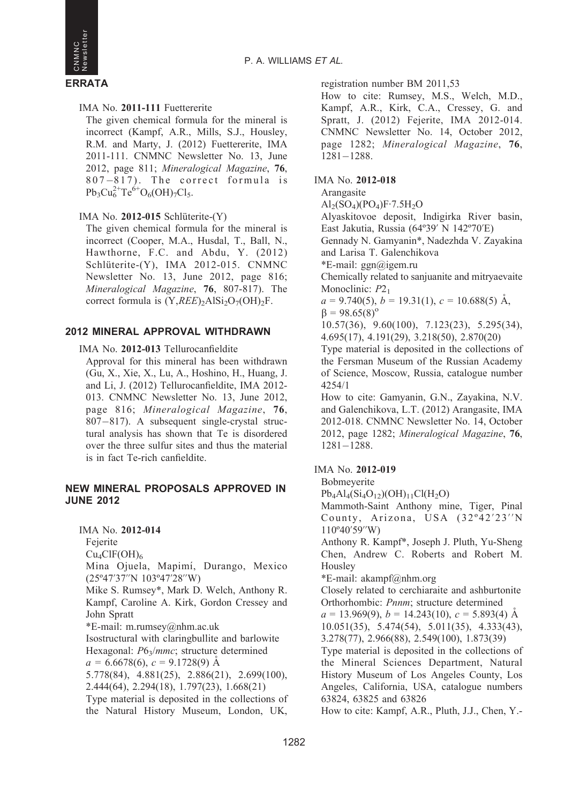



IMA No. 2011-111 Fuettererite

The given chemical formula for the mineral is incorrect (Kampf, A.R., Mills, S.J., Housley, R.M. and Marty, J. (2012) Fuettererite, IMA 2011-111. CNMNC Newsletter No. 13, June 2012, page 811; Mineralogical Magazine, 76, 807-817). The correct formula is  $Pb_3Cu_6^{2+}Te^{6+}O_6(OH)_7Cl_5.$ 

#### IMA No.  $2012-015$  Schlüterite- $(Y)$

The given chemical formula for the mineral is incorrect (Cooper, M.A., Husdal, T., Ball, N., Hawthorne, F.C. and Abdu, Y. (2012) Schlüterite-(Y), IMA 2012-015. CNMNC Newsletter No. 13, June 2012, page 816; Mineralogical Magazine, 76, 807-817). The correct formula is  $(Y,REE)_2AISi_2O_7(OH)_2F$ .

#### 2012 MINERAL APPROVAL WITHDRAWN

#### IMA No. 2012-013 Tellurocanfieldite

Approval for this mineral has been withdrawn (Gu, X., Xie, X., Lu, A., Hoshino, H., Huang, J. and Li, J. (2012) Tellurocanfieldite, IMA 2012- 013. CNMNC Newsletter No. 13, June 2012, page 816; Mineralogical Magazine, 76, 807-817). A subsequent single-crystal structural analysis has shown that Te is disordered over the three sulfur sites and thus the material is in fact Te-rich canfieldite.

#### NEW MINERAL PROPOSALS APPROVED IN JUNE 2012

IMA No. 2012-014

Fejerite

 $Cu<sub>4</sub>ClF(OH)<sub>6</sub>$ 

Mina Ojuela, Mapimí, Durango, Mexico (25º47'37''N 103º47'28''W)

Mike S. Rumsey\*, Mark D. Welch, Anthony R. Kampf, Caroline A. Kirk, Gordon Cressey and John Spratt

\*E-mail: m.rumsey@nhm.ac.uk

Isostructural with claringbullite and barlowite Hexagonal:  $P6_3/mmc$ ; structure determined

 $a = 6.6678(6), c = 9.1728(9)$  Å

5.778(84), 4.881(25), 2.886(21), 2.699(100), 2.444(64), 2.294(18), 1.797(23), 1.668(21)

Type material is deposited in the collections of the Natural History Museum, London, UK,

registration number BM 2011,53

How to cite: Rumsey, M.S., Welch, M.D., Kampf, A.R., Kirk, C.A., Cressey, G. and Spratt, J. (2012) Fejerite, IMA 2012-014. CNMNC Newsletter No. 14, October 2012, page 1282; Mineralogical Magazine, 76, 1281-1288.

#### IMA No. 2012-018

Arangasite

 $\text{Al}_2(\text{SO}_4)(\text{PO}_4)\text{F}\cdot7.5\text{H}_2\text{O}$ 

Alyaskitovoe deposit, Indigirka River basin, East Jakutia, Russia (64º39' N 142º70'E)

Gennady N. Gamyanin\*, Nadezhda V. Zayakina and Larisa T. Galenchikova

\*E-mail: ggn@igem.ru

Chemically related to sanjuanite and mitryaevaite Monoclinic:  $P2<sub>1</sub>$ 

 $a = 9.740(5)$ ,  $b = 19.31(1)$ ,  $c = 10.688(5)$  Å,  $\beta = 98.65(8)^{\circ}$ 

10.57(36), 9.60(100), 7.123(23), 5.295(34), 4.695(17), 4.191(29), 3.218(50), 2.870(20)

Type material is deposited in the collections of the Fersman Museum of the Russian Academy of Science, Moscow, Russia, catalogue number 4254/1

How to cite: Gamyanin, G.N., Zayakina, N.V. and Galenchikova, L.T. (2012) Arangasite, IMA 2012-018. CNMNC Newsletter No. 14, October 2012, page 1282; Mineralogical Magazine, 76, 1281-1288.

#### IMA No. 2012-019

Bobmeyerite

 $Pb_4Al_4(Si_4O_{12})(OH)_{11}Cl(H_2O)$ 

Mammoth-Saint Anthony mine, Tiger, Pinal County, Arizona, USA (32°42'23"N 110º40'59''W)

Anthony R. Kampf\*, Joseph J. Pluth, Yu-Sheng Chen, Andrew C. Roberts and Robert M. Housley

\*E-mail: akampf@nhm.org

Closely related to cerchiaraite and ashburtonite Orthorhombic: Pnnm; structure determined

 $a = 13.969(9)$ ,  $b = 14.243(10)$ ,  $c = 5.893(4)$  Å 10.051(35), 5.474(54), 5.011(35), 4.333(43), 3.278(77), 2.966(88), 2.549(100), 1.873(39)

Type material is deposited in the collections of the Mineral Sciences Department, Natural History Museum of Los Angeles County, Los Angeles, California, USA, catalogue numbers 63824, 63825 and 63826

How to cite: Kampf, A.R., Pluth, J.J., Chen, Y.-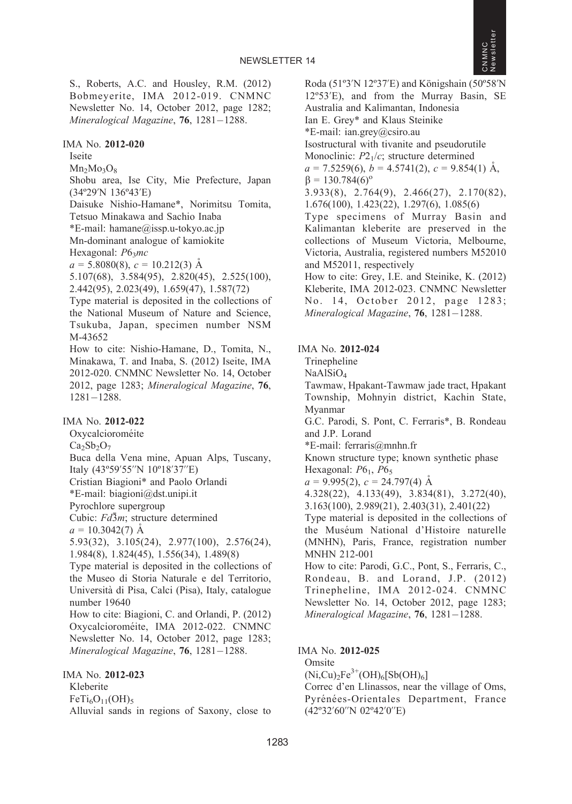

S., Roberts, A.C. and Housley, R.M. (2012) Bobmeyerite, IMA 2012-019. CNMNC Newsletter No. 14, October 2012, page 1282; Mineralogical Magazine, 76, 1281–1288.

#### IMA No. 2012-020

Iseite

 $Mn_2Mo_3O_8$ 

Shobu area, Ise City, Mie Prefecture, Japan (34º29'N 136º43'E)

Daisuke Nishio-Hamane\*, Norimitsu Tomita, Tetsuo Minakawa and Sachio Inaba \*E-mail: hamane@issp.u-tokyo.ac.jp

Mn-dominant analogue of kamiokite

Hexagonal:  $P6<sub>3</sub>mc$ 

 $a = 5.8080(8), c = 10.212(3)$  Å

5.107(68), 3.584(95), 2.820(45), 2.525(100),

2.442(95), 2.023(49), 1.659(47), 1.587(72)

Type material is deposited in the collections of the National Museum of Nature and Science, Tsukuba, Japan, specimen number NSM M-43652

How to cite: Nishio-Hamane, D., Tomita, N., Minakawa, T. and Inaba, S. (2012) Iseite, IMA 2012-020. CNMNC Newsletter No. 14, October 2012, page 1283; Mineralogical Magazine, 76, 1281-1288.

#### IMA No. 2012-022

Oxycalcioroméite  $Ca<sub>2</sub>Sb<sub>2</sub>O<sub>7</sub>$ Buca della Vena mine, Apuan Alps, Tuscany, Italy (43º59'55''N 10º18'37''E) Cristian Biagioni\* and Paolo Orlandi \*E-mail: biagioni@dst.unipi.it Pyrochlore supergroup Cubic:  $Fd\bar{3}m$ ; structure determined  $a = 10.3042(7)$  A 5.93(32), 3.105(24), 2.977(100), 2.576(24), 1.984(8), 1.824(45), 1.556(34), 1.489(8) Type material is deposited in the collections of the Museo di Storia Naturale e del Territorio, Universita` di Pisa, Calci (Pisa), Italy, catalogue number 19640 How to cite: Biagioni, C. and Orlandi, P. (2012)

Oxycalcioroméite, IMA 2012-022. CNMNC Newsletter No. 14, October 2012, page 1283; Mineralogical Magazine, 76, 1281–1288.

IMA No. 2012-023 Kleberite  $FeTi<sub>6</sub>O<sub>11</sub>(OH)<sub>5</sub>$ Alluvial sands in regions of Saxony, close to Roda (51°3'N 12°37'E) and Königshain (50°58'N 12º53'E), and from the Murray Basin, SE Australia and Kalimantan, Indonesia Ian E. Grey\* and Klaus Steinike \*E-mail: ian.grey@csiro.au Isostructural with tivanite and pseudorutile Monoclinic:  $P2<sub>1</sub>/c$ ; structure determined  $a = 7.5259(6)$ ,  $b = 4.5741(2)$ ,  $c = 9.854(1)$  Å,  $\beta = 130.784(6)^{\circ}$ 3.933(8), 2.764(9), 2.466(27), 2.170(82), 1.676(100), 1.423(22), 1.297(6), 1.085(6) Type specimens of Murray Basin and Kalimantan kleberite are preserved in the collections of Museum Victoria, Melbourne, Victoria, Australia, registered numbers M52010 and M52011, respectively How to cite: Grey, I.E. and Steinike, K. (2012) Kleberite, IMA 2012-023. CNMNC Newsletter No. 14, October 2012, page 1283; Mineralogical Magazine, 76, 1281-1288.

#### IMA No. 2012-024

Trinepheline

NaAlSiO4

Tawmaw, Hpakant-Tawmaw jade tract, Hpakant Township, Mohnyin district, Kachin State, Myanmar

G.C. Parodi, S. Pont, C. Ferraris\*, B. Rondeau and J.P. Lorand

\*E-mail: ferraris@mnhn.fr

Known structure type; known synthetic phase Hexagonal:  $P6<sub>1</sub>$ ,  $P6<sub>5</sub>$ 

 $a = 9.995(2), c = 24.797(4)$  Å

4.328(22), 4.133(49), 3.834(81), 3.272(40),

3.163(100), 2.989(21), 2.403(31), 2.401(22)

Type material is deposited in the collections of the Muséum National d'Histoire naturelle (MNHN), Paris, France, registration number MNHN 212-001

How to cite: Parodi, G.C., Pont, S., Ferraris, C., Rondeau, B. and Lorand, J.P. (2012) Trinepheline, IMA 2012-024. CNMNC Newsletter No. 14, October 2012, page 1283; Mineralogical Magazine, 76, 1281-1288.

#### IMA No. 2012-025

Omsite

 $(Ni,Cu)_{2}Fe^{3+}(OH)_{6}[Sb(OH)_{6}]$ 

Correc d'en Llinassos, near the village of Oms, Pyrénées-Orientales Department, France (42º32'60''N 02º42'0''E)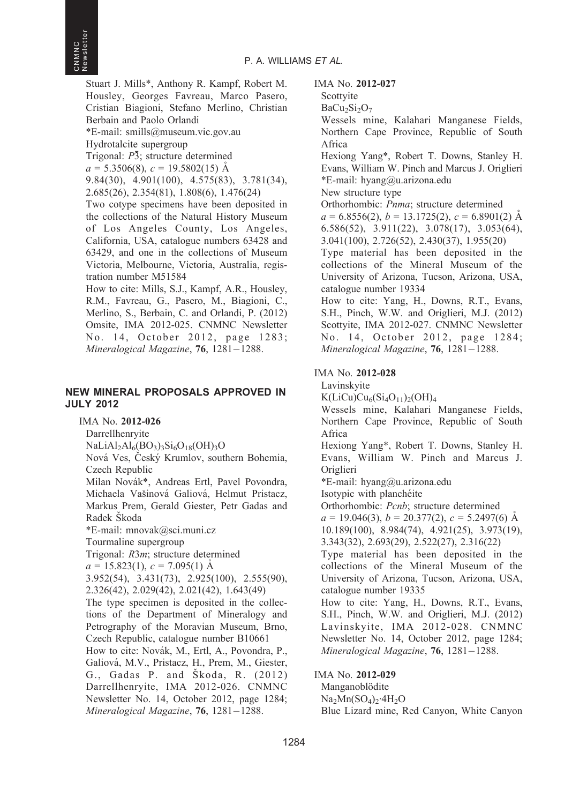Stuart J. Mills\*, Anthony R. Kampf, Robert M. Housley, Georges Favreau, Marco Pasero, Cristian Biagioni, Stefano Merlino, Christian Berbain and Paolo Orlandi \*E-mail: smills@museum.vic.gov.au Hydrotalcite supergroup Trigonal:  $P\bar{3}$ ; structure determined

 $a = 5.3506(8), c = 19.5802(15)$  Å

9.84(30), 4.901(100), 4.575(83), 3.781(34), 2.685(26), 2.354(81), 1.808(6), 1.476(24)

Two cotype specimens have been deposited in the collections of the Natural History Museum of Los Angeles County, Los Angeles, California, USA, catalogue numbers 63428 and 63429, and one in the collections of Museum Victoria, Melbourne, Victoria, Australia, registration number M51584

How to cite: Mills, S.J., Kampf, A.R., Housley, R.M., Favreau, G., Pasero, M., Biagioni, C., Merlino, S., Berbain, C. and Orlandi, P. (2012) Omsite, IMA 2012-025. CNMNC Newsletter No. 14, October 2012, page 1283; Mineralogical Magazine, **76**, 1281–1288.

#### NEW MINERAL PROPOSALS APPROVED IN JULY 2012

IMA No. 2012-026

Darrellhenryite

 $NaLiAl<sub>2</sub>Al<sub>6</sub>(BO<sub>3</sub>)<sub>3</sub>Si<sub>6</sub>O<sub>18</sub>(OH)<sub>3</sub>O$ 

Nová Ves, Český Krumlov, southern Bohemia, Czech Republic

Milan Novák\*, Andreas Ertl, Pavel Povondra, Michaela Vašinová Galiová, Helmut Pristacz. Markus Prem, Gerald Giester, Petr Gadas and Radek Škoda

\*E-mail: mnovak@sci.muni.cz

Tourmaline supergroup

Trigonal: R3m; structure determined

 $a = 15.823(1), c = 7.095(1)$  Å

3.952(54), 3.431(73), 2.925(100), 2.555(90), 2.326(42), 2.029(42), 2.021(42), 1.643(49)

The type specimen is deposited in the collections of the Department of Mineralogy and Petrography of the Moravian Museum, Brno, Czech Republic, catalogue number B10661 How to cite: Novák, M., Ertl, A., Povondra, P., Galiová, M.V., Pristacz, H., Prem, M., Giester, G., Gadas P. and Škoda, R. (2012) Darrellhenryite, IMA 2012-026. CNMNC Newsletter No. 14, October 2012, page 1284; Mineralogical Magazine, 76, 1281-1288.

IMA No. 2012-027

```
Scottyite
```
 $BaCu<sub>2</sub>Si<sub>2</sub>O<sub>7</sub>$ 

Wessels mine, Kalahari Manganese Fields, Northern Cape Province, Republic of South Africa

Hexiong Yang\*, Robert T. Downs, Stanley H. Evans, William W. Pinch and Marcus J. Origlieri \*E-mail: hyang@u.arizona.edu

New structure type

Orthorhombic: Pnma; structure determined  $a = 6.8556(2), b = 13.1725(2), c = 6.8901(2)$  Å 6.586(52), 3.911(22), 3.078(17), 3.053(64), 3.041(100), 2.726(52), 2.430(37), 1.955(20)

Type material has been deposited in the collections of the Mineral Museum of the University of Arizona, Tucson, Arizona, USA, catalogue number 19334

How to cite: Yang, H., Downs, R.T., Evans, S.H., Pinch, W.W. and Origlieri, M.J. (2012) Scottyite, IMA 2012-027. CNMNC Newsletter No. 14, October 2012, page 1284; Mineralogical Magazine, 76, 1281-1288.

#### IMA No. 2012-028

Lavinskyite

 $K(LiCu)Cu<sub>6</sub>(Si<sub>4</sub>O<sub>11</sub>)<sub>2</sub>(OH)<sub>4</sub>$ 

Wessels mine, Kalahari Manganese Fields, Northern Cape Province, Republic of South Africa

Hexiong Yang\*, Robert T. Downs, Stanley H. Evans, William W. Pinch and Marcus J. Origlieri

\*E-mail: hyang@u.arizona.edu

Isotypic with planchéite

Orthorhombic: Pcnb; structure determined

 $a = 19.046(3), b = 20.377(2), c = 5.2497(6)$  Å 10.189(100), 8.984(74), 4.921(25), 3.973(19), 3.343(32), 2.693(29), 2.522(27), 2.316(22)

Type material has been deposited in the collections of the Mineral Museum of the University of Arizona, Tucson, Arizona, USA, catalogue number 19335

How to cite: Yang, H., Downs, R.T., Evans, S.H., Pinch, W.W. and Origlieri, M.J. (2012) Lavinskyite, IMA 2012-028. CNMNC Newsletter No. 14, October 2012, page 1284; Mineralogical Magazine, 76, 1281-1288.

IMA No. 2012-029

Manganoblödite  $Na<sub>2</sub>Mn(SO<sub>4</sub>)<sub>2</sub>·4H<sub>2</sub>O$ Blue Lizard mine, Red Canyon, White Canyon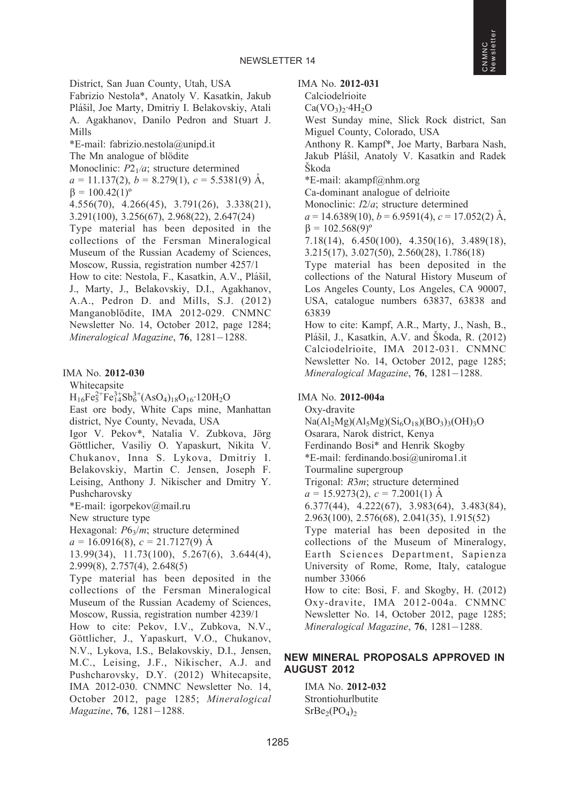District, San Juan County, Utah, USA Fabrizio Nestola\*, Anatoly V. Kasatkin, Jakub Plášil, Joe Marty, Dmitriy I. Belakovskiy, Atali A. Agakhanov, Danilo Pedron and Stuart J. Mills \*E-mail: fabrizio.nestola@unipd.it The Mn analogue of blödite Monoclinic:  $P2<sub>1</sub>/a$ ; structure determined  $a = 11.137(2), b = 8.279(1), c = 5.5381(9)$  Å,  $\beta = 100.42(1)^{\circ}$ 4.556(70), 4.266(45), 3.791(26), 3.338(21), 3.291(100), 3.256(67), 2.968(22), 2.647(24) Type material has been deposited in the collections of the Fersman Mineralogical Museum of the Russian Academy of Sciences, Moscow, Russia, registration number 4257/1 How to cite: Nestola, F., Kasatkin, A.V., Plášil, J., Marty, J., Belakovskiy, D.I., Agakhanov, A.A., Pedron D. and Mills, S.J. (2012) Manganoblödite, IMA 2012-029. CNMNC Newsletter No. 14, October 2012, page 1284; Mineralogical Magazine, 76, 1281–1288.

#### IMA No. 2012-030

Whitecapsite

 $H_{16}Fe_5^{2+}Fe_{14}^{3+}Sb_6^{3+}(AsO_4)_{18}O_{16}$  120H<sub>2</sub>O

East ore body, White Caps mine, Manhattan district, Nye County, Nevada, USA

Igor V. Pekov\*, Natalia V. Zubkova, Jörg Göttlicher, Vasiliy O. Yapaskurt, Nikita V. Chukanov, Inna S. Lykova, Dmitriy I. Belakovskiy, Martin C. Jensen, Joseph F. Leising, Anthony J. Nikischer and Dmitry Y. Pushcharovsky

\*E-mail: igorpekov@mail.ru

New structure type

Hexagonal:  $P6_3/m$ ; structure determined

 $a = 16.0916(8), c = 21.7127(9)$  Å

13.99(34), 11.73(100), 5.267(6), 3.644(4), 2.999(8), 2.757(4), 2.648(5)

Type material has been deposited in the collections of the Fersman Mineralogical Museum of the Russian Academy of Sciences, Moscow, Russia, registration number 4239/1

How to cite: Pekov, I.V., Zubkova, N.V., Göttlicher, J., Yapaskurt, V.O., Chukanov, N.V., Lykova, I.S., Belakovskiy, D.I., Jensen, M.C., Leising, J.F., Nikischer, A.J. and Pushcharovsky, D.Y. (2012) Whitecapsite, IMA 2012-030. CNMNC Newsletter No. 14, October 2012, page 1285; Mineralogical Magazine, 76, 1281-1288.

IMA No. 2012-031

Calciodelrioite

 $Ca(VO<sub>3</sub>)<sub>2</sub>·4H<sub>2</sub>O$ 

West Sunday mine, Slick Rock district, San Miguel County, Colorado, USA

Anthony R. Kampf\*, Joe Marty, Barbara Nash, Jakub Plášil, Anatoly V. Kasatkin and Radek **Skoda** 

\*E-mail: akampf@nhm.org

Ca-dominant analogue of delrioite

Monoclinic: I2/a; structure determined

 $a = 14.6389(10), b = 6.9591(4), c = 17.052(2)$  Å,  $\beta = 102.568(9)^{\circ}$ 

7.18(14), 6.450(100), 4.350(16), 3.489(18), 3.215(17), 3.027(50), 2.560(28), 1.786(18)

Type material has been deposited in the collections of the Natural History Museum of Los Angeles County, Los Angeles, CA 90007, USA, catalogue numbers 63837, 63838 and 63839

How to cite: Kampf, A.R., Marty, J., Nash, B., Plášil, J., Kasatkin, A.V. and Škoda, R. (2012) Calciodelrioite, IMA 2012-031. CNMNC Newsletter No. 14, October 2012, page 1285; Mineralogical Magazine, **76**, 1281–1288.

#### IMA No. 2012-004a

Oxy-dravite  $Na(Al_2Mg)(Al_5Mg)(Si_6O_{18})(BO_3)_{3}(OH)_{3}O$ Osarara, Narok district, Kenya Ferdinando Bosi\* and Henrik Skogby \*E-mail: ferdinando.bosi@uniroma1.it Tourmaline supergroup Trigonal: R3m; structure determined  $a = 15.9273(2), c = 7.2001(1)$  Å 6.377(44), 4.222(67), 3.983(64), 3.483(84), 2.963(100), 2.576(68), 2.041(35), 1.915(52) Type material has been deposited in the collections of the Museum of Mineralogy, Earth Sciences Department, Sapienza University of Rome, Rome, Italy, catalogue number 33066 How to cite: Bosi, F. and Skogby, H. (2012) Oxy-dravite, IMA 2012-004a. CNMNC Newsletter No. 14, October 2012, page 1285; Mineralogical Magazine, 76, 1281-1288.

#### NEW MINERAL PROPOSALS APPROVED IN AUGUST 2012

IMA No. 2012-032 Strontiohurlbutite  $SrBe<sub>2</sub>(PO<sub>4</sub>)<sub>2</sub>$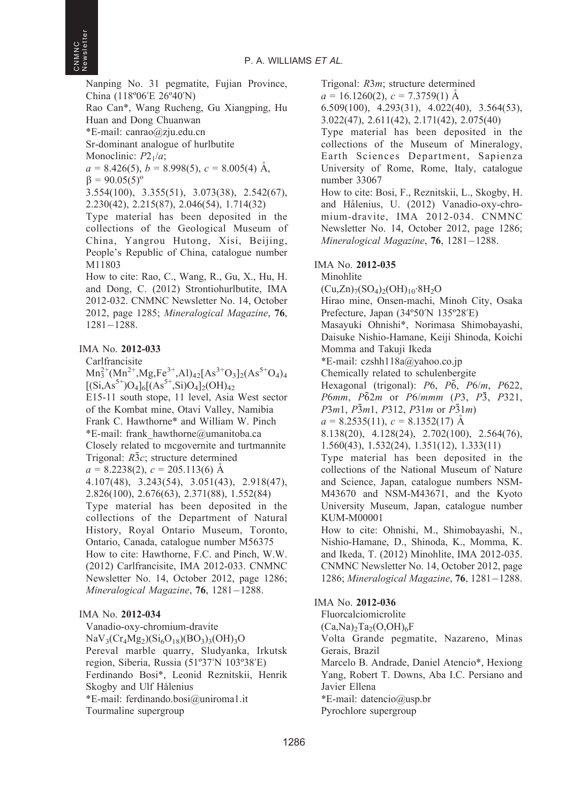Nanping No. 31 pegmatite, Fujian Province, China (118º06'E 26º40'N)

Rao Can\*, Wang Rucheng, Gu Xiangping, Hu Huan and Dong Chuanwan

\*E-mail: canrao@zju.edu.cn

Sr-dominant analogue of hurlbutite

Monoclinic:  $P2<sub>1</sub>/a$ ;

 $a = 8.426(5)$ ,  $b = 8.998(5)$ ,  $c = 8.005(4)$  Å,  $\beta = 90.05(5)^{\circ}$ 

3.554(100), 3.355(51), 3.073(38), 2.542(67), 2.230(42), 2.215(87), 2.046(54), 1.714(32)

Type material has been deposited in the collections of the Geological Museum of China, Yangrou Hutong, Xisi, Beijing, People's Republic of China, catalogue number M11803

How to cite: Rao, C., Wang, R., Gu, X., Hu, H. and Dong, C. (2012) Strontiohurlbutite, IMA 2012-032. CNMNC Newsletter No. 14, October 2012, page 1285; Mineralogical Magazine, 76, 1281-1288.

#### IMA No. 2012-033

Carlfrancisite

 $Mn_3^{2+}(Mn^{2+},Mg,Fe^{3+},Al)_{42}[As^{3+}O_3]_2(As^{5+}O_4)_{4}$  $[(Si, As<sup>5+</sup>)O<sub>4</sub>]<sub>6</sub>[(As<sup>5+</sup>,Si)O<sub>4</sub>]<sub>2</sub>(OH)<sub>42</sub>$ E15-11 south stope, 11 level, Asia West sector of the Kombat mine, Otavi Valley, Namibia Frank C. Hawthorne\* and William W. Pinch \*E-mail: frank\_hawthorne@umanitoba.ca Closely related to mcgovernite and turtmannite Trigonal:  $R\bar{3}c$ ; structure determined  $a = 8.2238(2), c = 205.113(6)$  Å 4.107(48), 3.243(54), 3.051(43), 2.918(47), 2.826(100), 2.676(63), 2.371(88), 1.552(84) Type material has been deposited in the collections of the Department of Natural History, Royal Ontario Museum, Toronto, Ontario, Canada, catalogue number M56375 How to cite: Hawthorne, F.C. and Pinch, W.W. (2012) Carlfrancisite, IMA 2012-033. CNMNC

Newsletter No. 14, October 2012, page 1286; Mineralogical Magazine, 76, 1281-1288.

#### IMA No. 2012-034

Vanadio-oxy-chromium-dravite  $NaV<sub>3</sub>(Cr<sub>4</sub>Mg<sub>2</sub>)(Si<sub>6</sub>O<sub>18</sub>)(BO<sub>3</sub>)<sub>3</sub>(OH)<sub>3</sub>O$ Pereval marble quarry, Sludyanka, Irkutsk region, Siberia, Russia (51º37'N 103º38'E) Ferdinando Bosi\*, Leonid Reznitskii, Henrik Skogby and Ulf Hålenius \*E-mail: ferdinando.bosi@uniroma1.it Tourmaline supergroup

Trigonal: R3m; structure determined

 $a = 16.1260(2), c = 7.3759(1)$  Å

6.509(100), 4.293(31), 4.022(40), 3.564(53),

3.022(47), 2.611(42), 2.171(42), 2.075(40)

Type material has been deposited in the collections of the Museum of Mineralogy, Earth Sciences Department, Sapienza University of Rome, Rome, Italy, catalogue number 33067

How to cite: Bosi, F., Reznitskii, L., Skogby, H. and Hålenius, U. (2012) Vanadio-oxy-chromium-dravite, IMA 2012-034. CNMNC Newsletter No. 14, October 2012, page 1286; Mineralogical Magazine, **76**, 1281–1288.

#### IMA No. 2012-035

Minohlite  $(Cu,Zn)_{7}(SO_4)_{2}(OH)_{10}\cdot 8H_2O$ Hirao mine, Onsen-machi, Minoh City, Osaka Prefecture, Japan (34º50'N 135º28'E) Masayuki Ohnishi\*, Norimasa Shimobayashi, Daisuke Nishio-Hamane, Keiji Shinoda, Koichi Momma and Takuji Ikeda \*E-mail: czshh118a@yahoo.co.jp Chemically related to schulenbergite Hexagonal (trigonal):  $P6$ ,  $P\bar{6}$ ,  $P6/m$ ,  $P622$ , *P6mm, P* $\bar{6}2m$  *or P6/mmm (P3, P3, P321,*  $P3m1, P3m1, P312, P31m$  or  $P31m$  $a = 8.2535(11), c = 8.1352(17)$  Å 8.138(20), 4.128(24), 2.702(100), 2.564(76), 1.560(43), 1.532(24), 1.351(12), 1.333(11) Type material has been deposited in the collections of the National Museum of Nature and Science, Japan, catalogue numbers NSM-M43670 and NSM-M43671, and the Kyoto University Museum, Japan, catalogue number KUM-M00001 How to cite: Ohnishi, M., Shimobayashi, N., Nishio-Hamane, D., Shinoda, K., Momma, K. and Ikeda, T. (2012) Minohlite, IMA 2012-035. CNMNC Newsletter No. 14, October 2012, page

1286; Mineralogical Magazine, 76, 1281-1288.

#### IMA No. 2012-036

Fluorcalciomicrolite

 $(Ca,Na)$ <sub>2</sub>Ta<sub>2</sub> $(O,OH)$ <sub>6</sub>F

Volta Grande pegmatite, Nazareno, Minas Gerais, Brazil

Marcelo B. Andrade, Daniel Atencio\*, Hexiong Yang, Robert T. Downs, Aba I.C. Persiano and Javier Ellena

\*E-mail: datencio@usp.br

Pyrochlore supergroup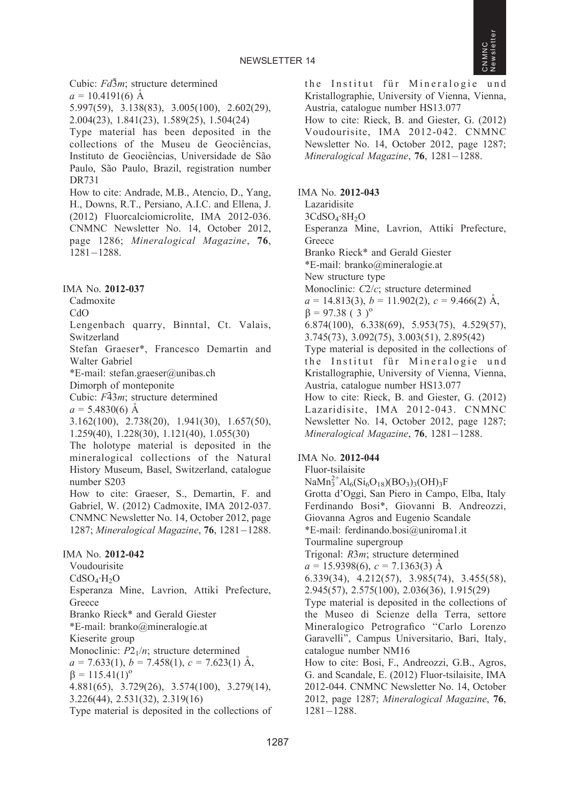Cubic:  $Fd\bar{3}m$ ; structure determined  $a = 10.4191(6)$  Å 5.997(59), 3.138(83), 3.005(100), 2.602(29), 2.004(23), 1.841(23), 1.589(25), 1.504(24) Type material has been deposited in the collections of the Museu de Geociências, Instituto de Geociências, Universidade de São Paulo, São Paulo, Brazil, registration number DR731 How to cite: Andrade, M.B., Atencio, D., Yang, H., Downs, R.T., Persiano, A.I.C. and Ellena, J. (2012) Fluorcalciomicrolite, IMA 2012-036. CNMNC Newsletter No. 14, October 2012, page 1286; Mineralogical Magazine, 76, 1281-1288.

IMA No. 2012-037

Cadmoxite

CdO

Lengenbach quarry, Binntal, Ct. Valais, Switzerland

Stefan Graeser\*, Francesco Demartin and Walter Gabriel

\*E-mail: stefan.graeser@unibas.ch

Dimorph of monteponite

Cubic:  $F\overline{4}3m$ ; structure determined

 $a = 5.4830(6)$  Å

3.162(100), 2.738(20), 1.941(30), 1.657(50), 1.259(40), 1.228(30), 1.121(40), 1.055(30)

The holotype material is deposited in the mineralogical collections of the Natural History Museum, Basel, Switzerland, catalogue number S203

How to cite: Graeser, S., Demartin, F. and Gabriel, W. (2012) Cadmoxite, IMA 2012-037. CNMNC Newsletter No. 14, October 2012, page 1287; Mineralogical Magazine, 76, 1281-1288.

#### IMA No. 2012-042

Voudourisite  $CdSO<sub>4</sub>·H<sub>2</sub>O$ Esperanza Mine, Lavrion, Attikí Prefecture, Greece Branko Rieck\* and Gerald Giester \*E-mail: branko@mineralogie.at Kieserite group Monoclinic:  $P2_1/n$ ; structure determined  $a = 7.633(1), b = 7.458(1), c = 7.623(1)$  Å,  $\beta = 115.41(1)^{\circ}$ 4.881(65), 3.729(26), 3.574(100), 3.279(14), 3.226(44), 2.531(32), 2.319(16) Type material is deposited in the collections of the Institut für Mineralogie und Kristallographie, University of Vienna, Vienna, Austria, catalogue number HS13.077

How to cite: Rieck, B. and Giester, G. (2012) Voudourisite, IMA 2012-042. CNMNC Newsletter No. 14, October 2012, page 1287; Mineralogical Magazine, **76**, 1281–1288.

IMA No. 2012-043 Lazaridisite 3CdSO<sub>4</sub>·8H<sub>2</sub>O Esperanza Mine, Lavrion, Attikí Prefecture, **Greece** Branko Rieck\* and Gerald Giester \*E-mail: branko@mineralogie.at New structure type Monoclinic: C2/c; structure determined  $a = 14.813(3), b = 11.902(2), c = 9.466(2)$  Å,  $\beta = 97.38$  (3)<sup>o</sup> 6.874(100), 6.338(69), 5.953(75), 4.529(57), 3.745(73), 3.092(75), 3.003(51), 2.895(42) Type material is deposited in the collections of the Institut für Mineralogie und Kristallographie, University of Vienna, Vienna, Austria, catalogue number HS13.077 How to cite: Rieck, B. and Giester, G. (2012) Lazaridisite, IMA 2012-043. CNMNC Newsletter No. 14, October 2012, page 1287; Mineralogical Magazine, 76, 1281-1288.

### IMA No. 2012-044

Fluor-tsilaisite  $\text{NaMn}_3^{2+}\text{Al}_6(\text{Si}_6\text{O}_{18})(\text{BO}_3)_3(\text{OH})_3\text{F}$ Grotta d'Oggi, San Piero in Campo, Elba, Italy Ferdinando Bosi\*, Giovanni B. Andreozzi, Giovanna Agros and Eugenio Scandale \*E-mail: ferdinando.bosi@uniroma1.it Tourmaline supergroup Trigonal: R3m; structure determined  $a = 15.9398(6), c = 7.1363(3)$  Å 6.339(34), 4.212(57), 3.985(74), 3.455(58), 2.945(57), 2.575(100), 2.036(36), 1.915(29) Type material is deposited in the collections of the Museo di Scienze della Terra, settore Mineralogico Petrografico ''Carlo Lorenzo Garavelli'', Campus Universitario, Bari, Italy, catalogue number NM16 How to cite: Bosi, F., Andreozzi, G.B., Agros, G. and Scandale, E. (2012) Fluor-tsilaisite, IMA 2012-044. CNMNC Newsletter No. 14, October 2012, page 1287; Mineralogical Magazine, 76, 1281-1288.